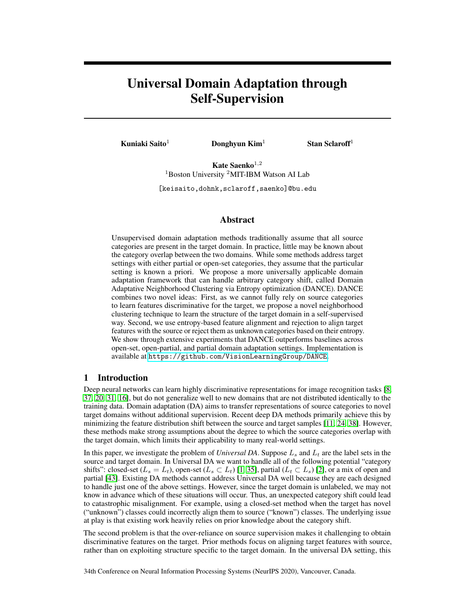# Universal Domain Adaptation through Self-Supervision

Kuniaki Saito<sup>1</sup> Donghyun Kim<sup>1</sup> Stan Sclaroff<sup>1</sup>

Kate Saenko $^{1,2}$  $1$ Boston University  $2$ MIT-IBM Watson AI Lab

[keisaito,dohnk,sclaroff,saenko]@bu.edu

## Abstract

Unsupervised domain adaptation methods traditionally assume that all source categories are present in the target domain. In practice, little may be known about the category overlap between the two domains. While some methods address target settings with either partial or open-set categories, they assume that the particular setting is known a priori. We propose a more universally applicable domain adaptation framework that can handle arbitrary category shift, called Domain Adaptative Neighborhood Clustering via Entropy optimization (DANCE). DANCE combines two novel ideas: First, as we cannot fully rely on source categories to learn features discriminative for the target, we propose a novel neighborhood clustering technique to learn the structure of the target domain in a self-supervised way. Second, we use entropy-based feature alignment and rejection to align target features with the source or reject them as unknown categories based on their entropy. We show through extensive experiments that DANCE outperforms baselines across open-set, open-partial, and partial domain adaptation settings. Implementation is available at <https://github.com/VisionLearningGroup/DANCE>.

## 1 Introduction

Deep neural networks can learn highly discriminative representations for image recognition tasks [\[8,](#page-8-0) [37,](#page-10-0) [20,](#page-9-0) [31,](#page-9-1) [16\]](#page-9-2), but do not generalize well to new domains that are not distributed identically to the training data. Domain adaptation (DA) aims to transfer representations of source categories to novel target domains without additional supervision. Recent deep DA methods primarily achieve this by minimizing the feature distribution shift between the source and target samples [\[11,](#page-8-1) [24,](#page-9-3) [38\]](#page-10-1). However, these methods make strong assumptions about the degree to which the source categories overlap with the target domain, which limits their applicability to many real-world settings.

In this paper, we investigate the problem of *Universal DA*. Suppose  $L_s$  and  $L_t$  are the label sets in the source and target domain. In Universal DA we want to handle all of the following potential "category" shifts": closed-set  $(L_s = L_t)$ , open-set  $(L_s \subset L_t)$  [\[1,](#page-8-2) [35\]](#page-9-4), partial  $(L_t \subset L_s)$  [\[2\]](#page-8-3), or a mix of open and partial [\[43\]](#page-10-2). Existing DA methods cannot address Universal DA well because they are each designed to handle just one of the above settings. However, since the target domain is unlabeled, we may not know in advance which of these situations will occur. Thus, an unexpected category shift could lead to catastrophic misalignment. For example, using a closed-set method when the target has novel ("unknown") classes could incorrectly align them to source ("known") classes. The underlying issue at play is that existing work heavily relies on prior knowledge about the category shift.

The second problem is that the over-reliance on source supervision makes it challenging to obtain discriminative features on the target. Prior methods focus on aligning target features with source, rather than on exploiting structure specific to the target domain. In the universal DA setting, this

34th Conference on Neural Information Processing Systems (NeurIPS 2020), Vancouver, Canada.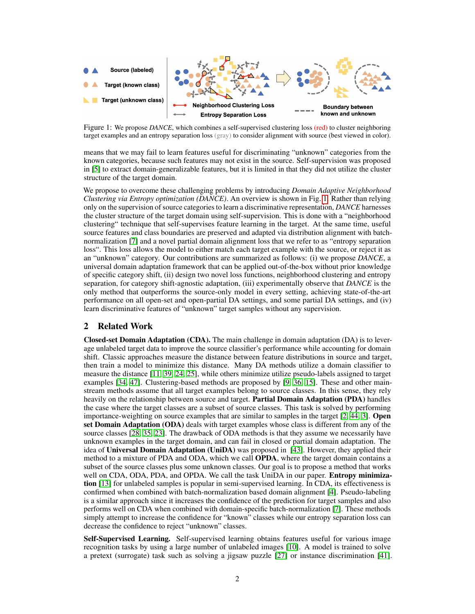<span id="page-1-0"></span>

Figure 1: We propose *DANCE*, which combines a self-supervised clustering loss (red) to cluster neighboring target examples and an entropy separation loss (gray) to consider alignment with source (best viewed in color).

means that we may fail to learn features useful for discriminating "unknown" categories from the known categories, because such features may not exist in the source. Self-supervision was proposed in [\[5\]](#page-8-4) to extract domain-generalizable features, but it is limited in that they did not utilize the cluster structure of the target domain.

We propose to overcome these challenging problems by introducing *Domain Adaptive Neighborhood Clustering via Entropy optimization (DANCE)*. An overview is shown in Fig. [1.](#page-1-0) Rather than relying only on the supervision of source categories to learn a discriminative representation, *DANCE* harnesses the cluster structure of the target domain using self-supervision. This is done with a "neighborhood clustering" technique that self-supervises feature learning in the target. At the same time, useful source features and class boundaries are preserved and adapted via distribution alignment with batchnormalization [\[7\]](#page-8-5) and a novel partial domain alignment loss that we refer to as "entropy separation loss". This loss allows the model to either match each target example with the source, or reject it as an "unknown" category. Our contributions are summarized as follows: (i) we propose *DANCE*, a universal domain adaptation framework that can be applied out-of-the-box without prior knowledge of specific category shift, (ii) design two novel loss functions, neighborhood clustering and entropy separation, for category shift-agnostic adaptation, (iii) experimentally observe that *DANCE* is the only method that outperforms the source-only model in every setting, achieving state-of-the-art performance on all open-set and open-partial DA settings, and some partial DA settings, and (iv) learn discriminative features of "unknown" target samples without any supervision.

## 2 Related Work

Closed-set Domain Adaptation (CDA). The main challenge in domain adaptation (DA) is to leverage unlabeled target data to improve the source classifier's performance while accounting for domain shift. Classic approaches measure the distance between feature distributions in source and target, then train a model to minimize this distance. Many DA methods utilize a domain classifier to measure the distance [\[11,](#page-8-1) [39,](#page-10-3) [24,](#page-9-3) [25\]](#page-9-5), while others minimize utilize pseudo-labels assigned to target examples [\[34,](#page-9-6) [47\]](#page-10-4). Clustering-based methods are proposed by [\[9,](#page-8-6) [36,](#page-10-5) [15\]](#page-9-7). These and other mainstream methods assume that all target examples belong to source classes. In this sense, they rely heavily on the relationship between source and target. **Partial Domain Adaptation (PDA)** handles the case where the target classes are a subset of source classes. This task is solved by performing importance-weighting on source examples that are similar to samples in the target [\[2,](#page-8-3) [44,](#page-10-6) [3\]](#page-8-7). Open set Domain Adaptation (ODA) deals with target examples whose class is different from any of the source classes [\[28,](#page-9-8) [35,](#page-9-4) [23\]](#page-9-9). The drawback of ODA methods is that they assume we necessarily have unknown examples in the target domain, and can fail in closed or partial domain adaptation. The idea of Universal Domain Adaptation (UniDA) was proposed in [\[43\]](#page-10-2). However, they applied their method to a mixture of PDA and ODA, which we call OPDA, where the target domain contains a subset of the source classes plus some unknown classes. Our goal is to propose a method that works well on CDA, ODA, PDA, and OPDA. We call the task UniDA in our paper. Entropy minimization [\[13\]](#page-8-8) for unlabeled samples is popular in semi-supervised learning. In CDA, its effectiveness is confirmed when combined with batch-normalization based domain alignment [\[4\]](#page-8-9). Pseudo-labeling is a similar approach since it increases the confidence of the prediction for target samples and also performs well on CDA when combined with domain-specific batch-normalization [\[7\]](#page-8-5). These methods simply attempt to increase the confidence for "known" classes while our entropy separation loss can decrease the confidence to reject "unknown" classes.

Self-Supervised Learning. Self-supervised learning obtains features useful for various image recognition tasks by using a large number of unlabeled images [\[10\]](#page-8-10). A model is trained to solve a pretext (surrogate) task such as solving a jigsaw puzzle [\[27\]](#page-9-10) or instance discrimination [\[41\]](#page-10-7).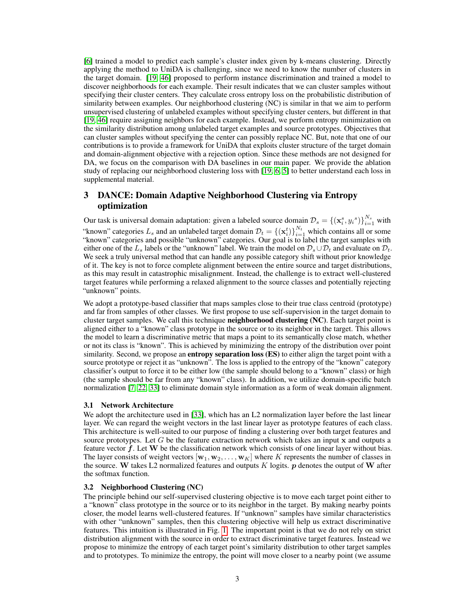[\[6\]](#page-8-11) trained a model to predict each sample's cluster index given by k-means clustering. Directly applying the method to UniDA is challenging, since we need to know the number of clusters in the target domain. [\[19,](#page-9-11) [46\]](#page-10-8) proposed to perform instance discrimination and trained a model to discover neighborhoods for each example. Their result indicates that we can cluster samples without specifying their cluster centers. They calculate cross entropy loss on the probabilistic distribution of similarity between examples. Our neighborhood clustering (NC) is similar in that we aim to perform unsupervised clustering of unlabeled examples without specifying cluster centers, but different in that [\[19,](#page-9-11) [46\]](#page-10-8) require assigning neighbors for each example. Instead, we perform entropy minimization on the similarity distribution among unlabeled target examples and source prototypes. Objectives that can cluster samples without specifying the center can possibly replace NC. But, note that one of our contributions is to provide a framework for UniDA that exploits cluster structure of the target domain and domain-alignment objective with a rejection option. Since these methods are not designed for DA, we focus on the comparison with DA baselines in our main paper. We provide the ablation study of replacing our neighborhood clustering loss with [\[19,](#page-9-11) [6,](#page-8-11) [5\]](#page-8-4) to better understand each loss in supplemental material.

# 3 DANCE: Domain Adaptive Neighborhood Clustering via Entropy optimization

Our task is universal domain adaptation: given a labeled source domain  $\mathcal{D}_s = \{(\mathbf{x}_i^s, y_i^s)\}_{i=1}^{N_s}$  with "known" categories  $L_s$  and an unlabeled target domain  $\mathcal{D}_t = \{(\mathbf{x}_i^t)\}_{i=1}^{N_t}$  which contains all or some "known" categories and possible "unknown" categories. Our goal is to label the target samples with either one of the  $L_s$  labels or the "unknown" label. We train the model on  $\mathcal{D}_s \cup \mathcal{D}_t$  and evaluate on  $\mathcal{D}_t$ . We seek a truly universal method that can handle any possible category shift without prior knowledge of it. The key is not to force complete alignment between the entire source and target distributions, as this may result in catastrophic misalignment. Instead, the challenge is to extract well-clustered target features while performing a relaxed alignment to the source classes and potentially rejecting "unknown" points.

We adopt a prototype-based classifier that maps samples close to their true class centroid (prototype) and far from samples of other classes. We first propose to use self-supervision in the target domain to cluster target samples. We call this technique neighborhood clustering (NC). Each target point is aligned either to a "known" class prototype in the source or to its neighbor in the target. This allows the model to learn a discriminative metric that maps a point to its semantically close match, whether or not its class is "known". This is achieved by minimizing the entropy of the distribution over point similarity. Second, we propose an **entropy separation loss (ES)** to either align the target point with a source prototype or reject it as "unknown". The loss is applied to the entropy of the "known" category classifier's output to force it to be either low (the sample should belong to a "known" class) or high (the sample should be far from any "known" class). In addition, we utilize domain-specific batch normalization [\[7,](#page-8-5) [22,](#page-9-12) [33\]](#page-9-13) to eliminate domain style information as a form of weak domain alignment.

## 3.1 Network Architecture

We adopt the architecture used in [\[33\]](#page-9-13), which has an L2 normalization layer before the last linear layer. We can regard the weight vectors in the last linear layer as prototype features of each class. This architecture is well-suited to our purpose of finding a clustering over both target features and source prototypes. Let  $G$  be the feature extraction network which takes an input  $x$  and outputs a feature vector  $f$ . Let W be the classification network which consists of one linear layer without bias. The layer consists of weight vectors  $[w_1, w_2, \ldots, w_K]$  where K represents the number of classes in the source. W takes L2 normalized features and outputs K logits.  $p$  denotes the output of W after the softmax function.

## 3.2 Neighborhood Clustering (NC)

The principle behind our self-supervised clustering objective is to move each target point either to a "known" class prototype in the source or to its neighbor in the target. By making nearby points closer, the model learns well-clustered features. If "unknown" samples have similar characteristics with other "unknown" samples, then this clustering objective will help us extract discriminative features. This intuition is illustrated in Fig. [1.](#page-1-0) The important point is that we do not rely on strict distribution alignment with the source in order to extract discriminative target features. Instead we propose to minimize the entropy of each target point's similarity distribution to other target samples and to prototypes. To minimize the entropy, the point will move closer to a nearby point (we assume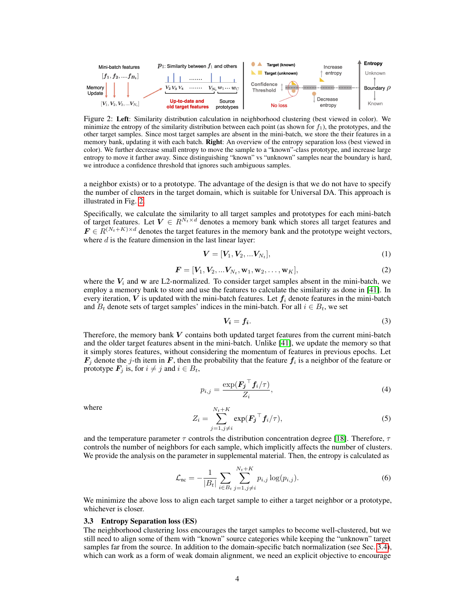<span id="page-3-0"></span>

Figure 2: Left: Similarity distribution calculation in neighborhood clustering (best viewed in color). We minimize the entropy of the similarity distribution between each point (as shown for  $f_1$ ), the prototypes, and the other target samples. Since most target samples are absent in the mini-batch, we store the their features in a memory bank, updating it with each batch. Right: An overview of the entropy separation loss (best viewed in color). We further decrease small entropy to move the sample to a "known"-class prototype, and increase large entropy to move it farther away. Since distinguishing "known" vs "unknown" samples near the boundary is hard, we introduce a confidence threshold that ignores such ambiguous samples.

a neighbor exists) or to a prototype. The advantage of the design is that we do not have to specify the number of clusters in the target domain, which is suitable for Universal DA. This approach is illustrated in Fig. [2.](#page-3-0)

Specifically, we calculate the similarity to all target samples and prototypes for each mini-batch of target features. Let  $V \in R^{N_t \times d}$  denotes a memory bank which stores all target features and  $\mathbf{F} \in \mathbb{R}^{(N_t+K)\times d}$  denotes the target features in the memory bank and the prototype weight vectors, where  $d$  is the feature dimension in the last linear layer:

$$
V = [V_1, V_2, ... V_{N_t}],
$$
\n(1)

$$
F = [V_1, V_2, ... V_{N_t}, w_1, w_2, ..., w_K],
$$
\n(2)

where the  $V_i$  and w are L2-normalized. To consider target samples absent in the mini-batch, we employ a memory bank to store and use the features to calculate the similarity as done in [\[41\]](#page-10-7). In every iteration, V is updated with the mini-batch features. Let  $f_i$  denote features in the mini-batch and  $B_t$  denote sets of target samples' indices in the mini-batch. For all  $i \in B_t$ , we set

$$
V_i = f_i. \tag{3}
$$

Therefore, the memory bank  $V$  contains both updated target features from the current mini-batch and the older target features absent in the mini-batch. Unlike [\[41\]](#page-10-7), we update the memory so that it simply stores features, without considering the momentum of features in previous epochs. Let  $\mathbf{F}_j$  denote the j-th item in F, then the probability that the feature  $\mathbf{f}_i$  is a neighbor of the feature or prototype  $\mathbf{F}_i$  is, for  $i \neq j$  and  $i \in B_t$ ,

$$
p_{i,j} = \frac{\exp(\boldsymbol{F_j}^\top \boldsymbol{f}_i / \tau)}{Z_i},\tag{4}
$$

where

$$
Z_i = \sum_{j=1, j\neq i}^{N_t+K} \exp(\boldsymbol{F}_j^\top \boldsymbol{f}_i / \tau), \tag{5}
$$

and the temperature parameter  $\tau$  controls the distribution concentration degree [\[18\]](#page-9-14). Therefore,  $\tau$ controls the number of neighbors for each sample, which implicitly affects the number of clusters. We provide the analysis on the parameter in supplemental material. Then, the entropy is calculated as

$$
\mathcal{L}_{\text{nc}} = -\frac{1}{|B_t|} \sum_{i \in B_t} \sum_{j=1, j \neq i}^{N_t + K} p_{i,j} \log(p_{i,j}). \tag{6}
$$

We minimize the above loss to align each target sample to either a target neighbor or a prototype, whichever is closer.

#### 3.3 Entropy Separation loss (ES)

The neighborhood clustering loss encourages the target samples to become well-clustered, but we still need to align some of them with "known" source categories while keeping the "unknown" target samples far from the source. In addition to the domain-specific batch normalization (see Sec. [3.4\)](#page-4-0), which can work as a form of weak domain alignment, we need an explicit objective to encourage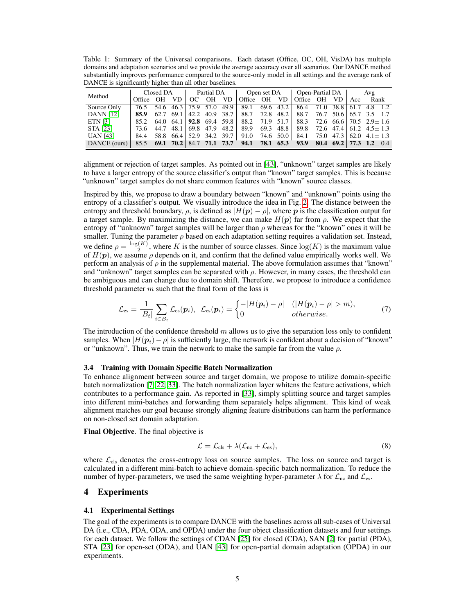<span id="page-4-1"></span>Table 1: Summary of the Universal comparisons. Each dataset (Office, OC, OH, VisDA) has multiple domains and adaptation scenarios and we provide the average accuracy over all scenarios. Our DANCE method substantially improves performance compared to the source-only model in all settings and the average rank of DANCE is significantly higher than all other baselines.

| Method                                                                                      |              | Closed DA |  | Partial DA   Open set DA   Open-Partial DA   Avg |  |  |  |                                                                                   |
|---------------------------------------------------------------------------------------------|--------------|-----------|--|--------------------------------------------------|--|--|--|-----------------------------------------------------------------------------------|
|                                                                                             | Office OH VD |           |  |                                                  |  |  |  | OC OH VD   Office OH VD   Office OH VD   Acc Rank                                 |
| Source Only                                                                                 |              |           |  |                                                  |  |  |  | 76.5 54.6 46.3 75.9 57.0 49.9 89.1 69.6 43.2 86.4 71.0 38.8 61.7 4.8 ± 1.2        |
| <b>DANN</b> [12]                                                                            |              |           |  |                                                  |  |  |  | <b>85.9</b> 62.7 69.1 42.2 40.9 38.7 88.7 72.8 48.2 88.7 76.7 50.6 65.7 3.5 ± 1.7 |
| ETN [3]                                                                                     |              |           |  |                                                  |  |  |  | 85.2 64.0 64.1 <b>92.8</b> 69.4 59.8 88.2 71.9 51.7 88.3 72.6 66.6 70.5 2.9 ± 1.6 |
| STA [23]                                                                                    |              |           |  |                                                  |  |  |  | 73.6 44.7 48.1 69.8 47.9 48.2 89.9 69.3 48.8 89.8 72.6 47.4 61.2 4.5 ± 1.3        |
| <b>UAN</b> [43]                                                                             |              |           |  |                                                  |  |  |  | $84.4$ 58.8 66.4 52.9 34.2 39.7 91.0 74.6 50.0 84.1 75.0 47.3 62.0 4.1 ± 1.3      |
| DANCE (ours) 85.5 69.1 70.2 84.7 71.1 73.7 94.1 78.1 65.3 93.9 80.4 69.2 77.3 1.2 $\pm$ 0.4 |              |           |  |                                                  |  |  |  |                                                                                   |

alignment or rejection of target samples. As pointed out in [\[43\]](#page-10-2), "unknown" target samples are likely to have a larger entropy of the source classifier's output than "known" target samples. This is because "unknown" target samples do not share common features with "known" source classes.

Inspired by this, we propose to draw a boundary between "known" and "unknown" points using the entropy of a classifier's output. We visually introduce the idea in Fig. [2.](#page-3-0) The distance between the entropy and threshold boundary,  $\rho$ , is defined as  $|H(\mathbf{p}) - \rho|$ , where  $\mathbf{p}$  is the classification output for a target sample. By maximizing the distance, we can make  $H(p)$  far from  $\rho$ . We expect that the entropy of "unknown" target samples will be larger than  $\rho$  whereas for the "known" ones it will be smaller. Tuning the parameter  $\rho$  based on each adaptation setting requires a validation set. Instead, we define  $\rho = \frac{\log(K)}{2}$  $\frac{2(K)}{2}$ , where K is the number of source classes. Since  $log(K)$  is the maximum value of  $H(p)$ , we assume  $\rho$  depends on it, and confirm that the defined value empirically works well. We perform an analysis of  $\rho$  in the supplemental material. The above formulation assumes that "known" and "unknown" target samples can be separated with  $\rho$ . However, in many cases, the threshold can be ambiguous and can change due to domain shift. Therefore, we propose to introduce a confidence threshold parameter  $m$  such that the final form of the loss is

$$
\mathcal{L}_{\text{es}} = \frac{1}{|B_t|} \sum_{i \in B_t} \mathcal{L}_{\text{es}}(\boldsymbol{p}_i), \ \ \mathcal{L}_{\text{es}}(\boldsymbol{p}_i) = \begin{cases} -|H(\boldsymbol{p}_i) - \rho| & (|H(\boldsymbol{p}_i) - \rho| > m), \\ 0 & otherwise. \end{cases}
$$
(7)

The introduction of the confidence threshold m allows us to give the separation loss only to confident samples. When  $|H(\mathbf{p}_i)-\rho|$  is sufficiently large, the network is confident about a decision of "known" or "unknown". Thus, we train the network to make the sample far from the value  $\rho$ .

#### <span id="page-4-0"></span>3.4 Training with Domain Specific Batch Normalization

To enhance alignment between source and target domain, we propose to utilize domain-specific batch normalization [\[7,](#page-8-5) [22,](#page-9-12) [33\]](#page-9-13). The batch normalization layer whitens the feature activations, which contributes to a performance gain. As reported in [\[33\]](#page-9-13), simply splitting source and target samples into different mini-batches and forwarding them separately helps alignment. This kind of weak alignment matches our goal because strongly aligning feature distributions can harm the performance on non-closed set domain adaptation.

Final Objective. The final objective is

$$
\mathcal{L} = \mathcal{L}_{\text{cls}} + \lambda (\mathcal{L}_{\text{nc}} + \mathcal{L}_{\text{es}}),\tag{8}
$$

where  $\mathcal{L}_{cls}$  denotes the cross-entropy loss on source samples. The loss on source and target is calculated in a different mini-batch to achieve domain-specific batch normalization. To reduce the number of hyper-parameters, we used the same weighting hyper-parameter  $\lambda$  for  $\mathcal{L}_{\text{nc}}$  and  $\mathcal{L}_{\text{es}}$ .

## 4 Experiments

## 4.1 Experimental Settings

The goal of the experiments is to compare DANCE with the baselines across all sub-cases of Universal DA (i.e., CDA, PDA, ODA, and OPDA) under the four object classification datasets and four settings for each dataset. We follow the settings of CDAN [\[25\]](#page-9-5) for closed (CDA), SAN [\[2\]](#page-8-3) for partial (PDA), STA [\[23\]](#page-9-9) for open-set (ODA), and UAN [\[43\]](#page-10-2) for open-partial domain adaptation (OPDA) in our experiments.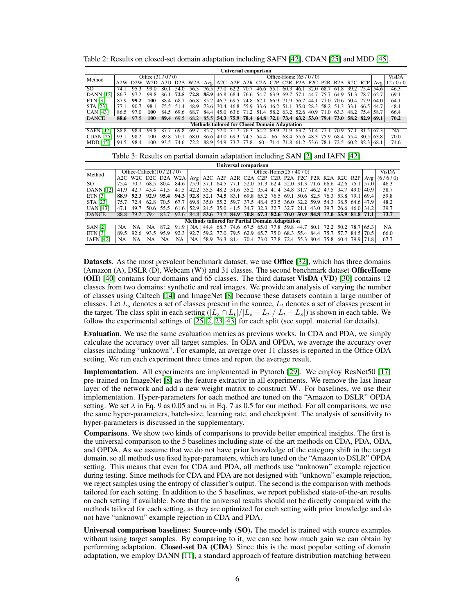<span id="page-5-0"></span>Table 2: Results on closed-set domain adaptation including SAFN [\[42\]](#page-10-9), CDAN [\[25\]](#page-9-5) and MDD [\[45\]](#page-10-10).

| Universal comparison |                   |      |             |      |      |                  |      |                        |           |                                                      |      |           |                          |      |                    |                     |                                                       |      |                |        |        |
|----------------------|-------------------|------|-------------|------|------|------------------|------|------------------------|-----------|------------------------------------------------------|------|-----------|--------------------------|------|--------------------|---------------------|-------------------------------------------------------|------|----------------|--------|--------|
| Method               | Office $(31/0/0)$ |      |             |      |      |                  |      | Office-Home $(65/0/0)$ |           |                                                      |      |           |                          |      |                    |                     |                                                       |      | <b>VisDA</b>   |        |        |
|                      | A <sub>2</sub> W  |      | W2D A2D D2A |      |      | W <sub>2</sub> A |      |                        |           |                                                      |      |           |                          |      |                    |                     | Avg $A2C$ A2P A2R C2A C2P C2R P2A P2C P2R R2A R2C R2P |      |                | Avg    | 12/0/0 |
| SO.                  | 74.               |      | 99.0        |      | 54 0 | 56.3             | 76.5 | 37.0                   | 62.2      | 70.7                                                 | 46.6 | 55.1      | 60.3                     | 46.1 | 32<br>$\mathbf{r}$ | 68.7                | 61<br>۰×                                              | 39.2 | 75.4   54.6    |        | 46.3   |
| <b>DANN</b> [12]     | 86.7              |      | 99.8        | 86.1 | 72.5 | 72.8             | 85.9 |                        | 46.8 68.4 | 76.6                                                 | 54.7 | 63.9      | 69.7 57.1                |      | 44.7               | 75.7                | 64.9                                                  | 513  | 78.7           | 62.7   | 69.1   |
| <b>ETN</b> [3]       | 87.9              | 99.2 | 100         | 88.4 | 68.7 | 66.8             | 85.2 |                        |           | 46.7 69.5 74.8                                       | 62.1 |           | 66.9 71.9                | 56.7 | -44.1              | 77.0                | 70.6                                                  | 50.4 | 77.9 64.0      |        | 64.1   |
| <b>STA [23]</b>      |                   | 90.7 | 98.1        | 75.5 | 51.4 | 48.9             | 73.6 |                        |           | 30.4 46.8 55.9 33.6                                  |      | 46.2 51.1 |                          |      |                    | 35.0 28.3 58.2 51.3 |                                                       | 33.1 | - 66.51        | 144.7  | 48.1   |
| <b>UAN</b> [43]      | 86.5              | 97.0 | 100         | 84.5 | 69.6 | 68.7             | 84.4 |                        |           | 45.0 63.6 71.2 51.4 58.2 63.2 52.6 40.9 71.0         |      |           |                          |      |                    |                     | 63.3                                                  |      | 48.2 75.4 58.7 |        | 66.4   |
| <b>DANCE</b>         | 88.6              | 97.5 | 100         | 89.4 | 69.5 | 68.2             |      |                        |           | 85.5 54.3 75.9 78.4 64.8 72.1 73.4 63.2 53.0 79.4    |      |           |                          |      |                    |                     | 73.0 58.2 82.9                                        |      |                | - 69.1 | 70.2   |
|                      |                   |      |             |      |      |                  |      |                        |           | <b>Methods tailored for Closed Domain Adaptation</b> |      |           |                          |      |                    |                     |                                                       |      |                |        |        |
| <b>SAFN [42]</b>     | 88.8              | 98.4 | 99.8        |      | 69.8 | 69               | 85.  | 52.0                   |           | 76.3                                                 | 64.2 | 699       | 71.9                     | 63   |                    |                     |                                                       |      | 81.5           | 67.3   | NA     |
| <b>CDAN</b> [25]     | 93.1              | 98.2 | 100         | 89   | 70.1 | 68.0             | 86.6 | 49.0                   | 69.3      | 74.5                                                 | 54.4 | 66        | 68.4                     | 55.6 | 48.3               | 759                 | 68.4                                                  | 55.4 | 80.5           | 63.8   | 70.0   |
| <b>MDD</b> [45]      | 94.5              | 98.4 | 100         | 93.5 | 74.6 | 72.2             | 88.9 | 54.9 73.7              |           | 77.8                                                 | 60   |           | 71.4 71.8 61.2 53.6 78.1 |      |                    |                     | 72.5                                                  |      | 60.2 82.3      | 68.1   | 74.6   |

<span id="page-5-1"></span>

| Universal comparison                                  |                            |           |      |           |                                                                                      |           |                                                        |                         |           |           |      |      |                          |      |     |                                                                                   |                |             |       |         |
|-------------------------------------------------------|----------------------------|-----------|------|-----------|--------------------------------------------------------------------------------------|-----------|--------------------------------------------------------|-------------------------|-----------|-----------|------|------|--------------------------|------|-----|-----------------------------------------------------------------------------------|----------------|-------------|-------|---------|
| Method                                                | Office-Caltech $(10/21/0)$ |           |      |           |                                                                                      |           |                                                        | Office-Home $(25/40/0)$ |           |           |      |      |                          |      |     |                                                                                   |                |             |       | VisDA   |
|                                                       |                            |           |      |           | A <sub>2</sub> C W <sub>2</sub> C D <sub>2</sub> C D <sub>2</sub> A W <sub>2</sub> A |           |                                                        |                         |           |           |      |      |                          |      |     | $Avg$ A2C A2P A2R C2A C2P C2R P2A P2C P2R R2A R2C R2P                             |                |             | Avg   | (6/6/0) |
| SO.                                                   | 754                        |           |      | 68.5 80.4 | 84.6                                                                                 | 75.91     |                                                        |                         |           |           |      |      |                          |      |     | 37.1 64.5 77.1 52.0 51.3 62.4 52.0 31.3 71.6 66.6 42.6 75.1 57.0                  |                |             |       | 46.3    |
| <b>DANN</b> [12]                                      | 41.9                       | 42.7      | 43.4 | 41.5      | 41.5                                                                                 |           |                                                        |                         |           |           |      |      |                          |      |     | 42.2   35.5   48.2   51.6   35.2   35.4   41.4   34.8   31.7   46.2   47.5   34.7 |                | 49 O L      | 40.9  | 38.7    |
| <b>ETN [3]</b>                                        | 88.9                       | 92.3      |      | 92.9 95.4 | 94.3                                                                                 |           |                                                        |                         |           |           |      |      |                          |      |     | 92.8  52.1  74.5  83.1  69.8  65.2  76.5  69.1  50.6  82.5  76.3  53.8  79.1      |                |             | 1694  | 59.8    |
| <b>STA</b> [23]                                       | 75.7                       | 72.4      | 62.8 | 70.5      | 67.7                                                                                 |           |                                                        |                         |           |           |      |      |                          |      |     | 69.8   35.0 55.2 59.7 37.5 48.4 53.5 36.0 32.2 59.9 54.3 38.5 64.6   47.9         |                |             |       | 48.2    |
| <b>UAN</b> [43]                                       | 47.1                       | 49.7      |      | 50.6 55.5 | 61.6                                                                                 |           | 52.9 24.5 35.0 41.5 34.7 32.3 32.7 32.7 21.1 43.0 39.7 |                         |           |           |      |      |                          |      |     |                                                                                   | 26.6 46.0 34.2 |             |       | 39.7    |
| <b>DANCE</b>                                          |                            | 88.8 79.2 | 79.4 | 83.7      | 92.6                                                                                 | 84.8      |                                                        |                         |           |           |      |      |                          |      |     | 53.6 73.2 84.9 70.8 67.3 82.6 70.0 50.9 84.8 77.0 55.9 81.8 71.1                  |                |             |       | 73.7    |
| <b>Methods tailored for Partial Domain Adaptation</b> |                            |           |      |           |                                                                                      |           |                                                        |                         |           |           |      |      |                          |      |     |                                                                                   |                |             |       |         |
| <b>SAN [2]</b>                                        | NA                         | ΝA        | ΝA   |           | 919                                                                                  | <b>NA</b> | 44.4                                                   | 68.7                    |           | 74.6 67.5 | 65.0 | 77.8 | 59.8                     | -44. | 80. |                                                                                   | 50 2           | 78.7        | 165.3 | NA      |
| <b>ETN [3]</b>                                        | 89.5                       | 92.6      | 93.5 | 959       | 92.3                                                                                 | 92.7      | 59 2                                                   | 77.0                    | 79.5 62.9 |           |      |      | 65.7 75.0 68.3 55.4 84.4 |      |     | 75.7577                                                                           |                | 84.5   70.5 |       | 66.0    |
| <b>IAFN</b> [42]                                      | NA                         | NA        | NA   | NA        | NA                                                                                   | <b>NA</b> |                                                        |                         |           |           |      |      |                          |      |     | 58.9 76.3 81.4 70.4 73.0 77.8 72.4 55.3 80.4 75.8                                 | 60.4 79.9 71.8 |             |       | 67.7    |

Datasets. As the most prevalent benchmark dataset, we use Office [\[32\]](#page-9-15), which has three domains (Amazon (A), DSLR (D), Webcam (W)) and 31 classes. The second benchmark dataset OfficeHome (OH) [\[40\]](#page-10-11) contains four domains and 65 classes. The third dataset VisDA (VD) [\[30\]](#page-9-16) contains 12 classes from two domains: synthetic and real images. We provide an analysis of varying the number of classes using Caltech [\[14\]](#page-9-17) and ImageNet [\[8\]](#page-8-0) because these datasets contain a large number of classes. Let  $L_s$  denotes a set of classes present in the source,  $L_t$  denotes a set of classes present in the target. The class split in each setting  $(|L_s \cap L_t|/|L_s - L_t|/|L_t - L_s|)$  is shown in each table. We follow the experimental settings of [\[25,](#page-9-5) [2,](#page-8-3) [23,](#page-9-9) [43\]](#page-10-2) for each split (see suppl. material for details).

Evaluation. We use the same evaluation metrics as previous works. In CDA and PDA, we simply calculate the accuracy over all target samples. In ODA and OPDA, we average the accuracy over classes including "unknown". For example, an average over 11 classes is reported in the Office ODA setting. We run each experiment three times and report the average result.

Implementation. All experiments are implemented in Pytorch [\[29\]](#page-9-18). We employ ResNet50 [\[17\]](#page-9-19) pre-trained on ImageNet [\[8\]](#page-8-0) as the feature extractor in all experiments. We remove the last linear layer of the network and add a new weight matrix to construct W. For baselines, we use their implementation. Hyper-parameters for each method are tuned on the "Amazon to DSLR" OPDA setting. We set  $\lambda$  in Eq. 9 as 0.05 and m in Eq. 7 as 0.5 for our method. For all comparisons, we use the same hyper-parameters, batch-size, learning rate, and checkpoint. The analysis of sensitivity to hyper-parameters is discussed in the supplementary.

Comparisons. We show two kinds of comparisons to provide better empirical insights. The first is the universal comparison to the 5 baselines including state-of-the-art methods on CDA, PDA, ODA, and OPDA. As we assume that we do not have prior knowledge of the category shift in the target domain, so all methods use fixed hyper-parameters, which are tuned on the "Amazon to DSLR" OPDA setting. This means that even for CDA and PDA, all methods use "unknown" example rejection during testing. Since methods for CDA and PDA are not designed with "unknown" example rejection, we reject samples using the entropy of classifier's output. The second is the comparison with methods tailored for each setting. In addition to the 5 baselines, we report published state-of-the-art results on each setting if available. Note that the universal results should not be directly compared with the methods tailored for each setting, as they are optimized for each setting with prior knowledge and do not have "unknown" example rejection in CDA and PDA.

Universal comparison baselines: Source-only (SO). The model is trained with source examples without using target samples. By comparing to it, we can see how much gain we can obtain by performing adaptation. Closed-set DA (CDA). Since this is the most popular setting of domain adaptation, we employ DANN [\[11\]](#page-8-1), a standard approach of feature distribution matching between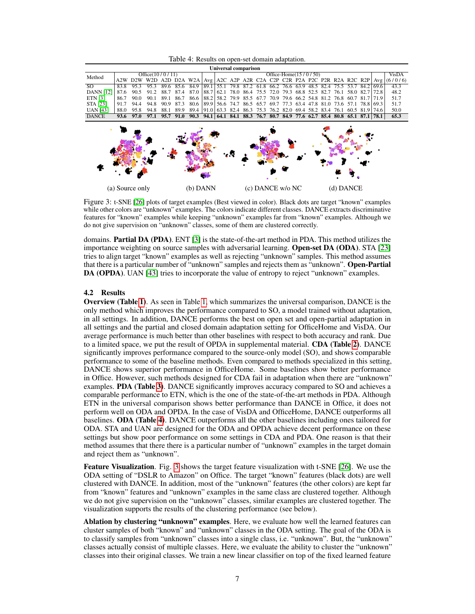Table 4: Results on open-set domain adaptation.

<span id="page-6-1"></span><span id="page-6-0"></span>

| Universal comparison |                    |                 |                                                                         |      |      |                               |      |                                                                                                        |      |                |                                                             |      |                               |  |  |  |                                              |           |                  |      |         |
|----------------------|--------------------|-----------------|-------------------------------------------------------------------------|------|------|-------------------------------|------|--------------------------------------------------------------------------------------------------------|------|----------------|-------------------------------------------------------------|------|-------------------------------|--|--|--|----------------------------------------------|-----------|------------------|------|---------|
| Method               | Office $(10/0/11)$ |                 |                                                                         |      |      |                               |      | Office-Home $(15/0/50)$                                                                                |      |                |                                                             |      |                               |  |  |  |                                              | VisDA     |                  |      |         |
|                      | A2W                |                 | D2W W2D A2D D2A W2A Avg A2C A2P A2R C2A C2P C2R P2A P2C P2R R2A R2C R2P |      |      |                               |      |                                                                                                        |      |                |                                                             |      |                               |  |  |  |                                              |           |                  | Avg  | (6/0/6) |
| $\overline{SO}$      | 83.8               | 95.3            | 95.3                                                                    | 89.6 | 85.6 | 84.9                          | 89.1 |                                                                                                        |      |                | 55.1 79.8 87.2 61.8 66.2 76.6 63.9 48.5 82.4 75.5 53.7 84.2 |      |                               |  |  |  |                                              |           |                  | 69.6 | 43.3    |
| <b>DANN</b> [12]     | 87.6               | 90.5            | 91.2                                                                    | 88.7 | 87.4 | 87.0                          | 88.7 | 62.1                                                                                                   |      | 78.0 86.4 75.5 |                                                             | 72.0 | 79.3 68.8 52.5 82.7           |  |  |  | 76.1                                         | 58.0 82.7 |                  | 72.8 | 48.2    |
| <b>ETN</b> [3]       | 86.7               | 90.0            | 90.1                                                                    | 89.1 | 86.7 | 86.6                          | 88.2 | 58.2                                                                                                   | 79.9 | 85.5           | -67.7                                                       |      |                               |  |  |  | 70.9 79.6 66.2 54.8 81.2 76.8 60.7 81.7 71.9 |           |                  |      | 51.7    |
| <b>STA [23]</b>      | 91.7               | 94.4            | 94.8                                                                    | 90.9 | 87.3 |                               |      | $80.6 \mid 89.9 \mid 56.6$ 74.7                                                                        |      | 86.5 65.7      |                                                             |      |                               |  |  |  | 69.7 77.3 63.4 47.8 81.0 73.6 57.1 78.8 69.3 |           |                  |      | 51.7    |
| <b>UAN</b> [43]      | 88.0               | 95.8            | 94.8                                                                    | 88.1 | 89.9 | 89.4 91.0 63.3 82.4 86.3 75.3 |      |                                                                                                        |      |                |                                                             |      | 76.2 82.0 69.4 58.2 83.4 76.1 |  |  |  |                                              |           | $60.5$ 81.9 74.6 |      | 50.0    |
| <b>DANCE</b>         | 93.6               | 97.0            | 97.1                                                                    | 95.7 | 91.0 |                               |      | 90.3   94.1   64.1   84.1   88.3   76.7   80.7   84.9   77.6   62.7   85.4   80.8   65.1   87.1   78.1 |      |                |                                                             |      |                               |  |  |  |                                              |           |                  |      | 65.3    |
|                      |                    | (a) Source only |                                                                         |      |      | $(b)$ DANN                    |      |                                                                                                        |      |                | (c) DANCE w/o NC                                            |      |                               |  |  |  | (d) DANCE                                    |           |                  |      |         |

Figure 3: t-SNE [\[26\]](#page-9-20) plots of target examples (Best viewed in color). Black dots are target "known" examples while other colors are "unknown" examples. The colors indicate different classes. DANCE extracts discriminative features for "known" examples while keeping "unknown" examples far from "known" examples. Although we do not give supervision on "unknown" classes, some of them are clustered correctly.

domains. **Partial DA (PDA)**. ENT [\[3\]](#page-8-7) is the state-of-the-art method in PDA. This method utilizes the importance weighting on source samples with adversarial learning. Open-set DA (ODA). STA [\[23\]](#page-9-9) tries to align target "known" examples as well as rejecting "unknown" samples. This method assumes that there is a particular number of "unknown" samples and rejects them as "unknown". Open-Partial DA (OPDA). UAN [\[43\]](#page-10-2) tries to incorporate the value of entropy to reject "unknown" examples.

## 4.2 Results

Overview (Table [1\)](#page-4-1). As seen in Table [1,](#page-4-1) which summarizes the universal comparison, DANCE is the only method which improves the performance compared to SO, a model trained without adaptation, in all settings. In addition, DANCE performs the best on open set and open-partial adaptation in all settings and the partial and closed domain adaptation setting for OfficeHome and VisDA. Our average performance is much better than other baselines with respect to both accuracy and rank. Due to a limited space, we put the result of OPDA in supplemental material. CDA (Table [2\)](#page-5-0). DANCE significantly improves performance compared to the source-only model (SO), and shows comparable performance to some of the baseline methods. Even compared to methods specialized in this setting, DANCE shows superior performance in OfficeHome. Some baselines show better performance in Office. However, such methods designed for CDA fail in adaptation when there are "unknown" examples. PDA (Table [3\)](#page-5-1). DANCE significantly improves accuracy compared to SO and achieves a comparable performance to ETN, which is the one of the state-of-the-art methods in PDA. Although ETN in the universal comparison shows better performance than DANCE in Office, it does not perform well on ODA and OPDA. In the case of VisDA and OfficeHome, DANCE outperforms all baselines. ODA (Table [4\)](#page-6-0). DANCE outperforms all the other baselines including ones tailored for ODA. STA and UAN are designed for the ODA and OPDA achieve decent performance on these settings but show poor performance on some settings in CDA and PDA. One reason is that their method assumes that there there is a particular number of "unknown" examples in the target domain and reject them as "unknown".

Feature Visualization. Fig. [3](#page-6-1) shows the target feature visualization with t-SNE [\[26\]](#page-9-20). We use the ODA setting of "DSLR to Amazon" on Office. The target "known" features (black dots) are well clustered with DANCE. In addition, most of the "unknown" features (the other colors) are kept far from "known" features and "unknown" examples in the same class are clustered together. Although we do not give supervision on the "unknown" classes, similar examples are clustered together. The visualization supports the results of the clustering performance (see below).

Ablation by clustering "unknown" examples. Here, we evaluate how well the learned features can cluster samples of both "known" and "unknown" classes in the ODA setting. The goal of the ODA is to classify samples from "unknown" classes into a single class, i.e. "unknown". But, the "unknown" classes actually consist of multiple classes. Here, we evaluate the ability to cluster the "unknown" classes into their original classes. We train a new linear classifier on top of the fixed learned feature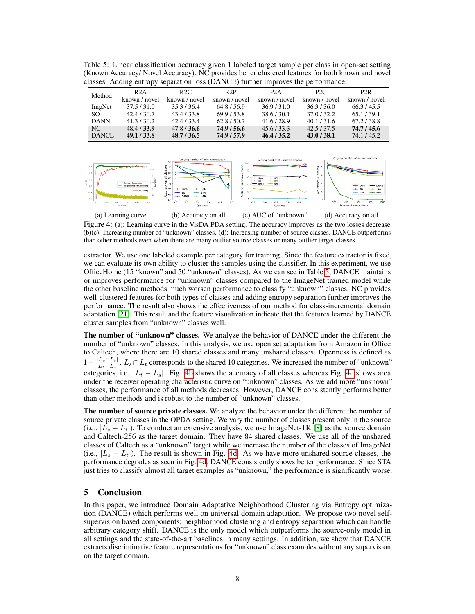<span id="page-7-0"></span>Table 5: Linear classification accuracy given 1 labeled target sample per class in open-set setting (Known Accuracy/ Novel Accuracy). NC provides better clustered features for both known and novel classes. Adding entropy separation loss (DANCE) further improves the performance.

| Method       | R2A           | R2C           | R2P           | P2A           | P <sub>2C</sub> | P <sub>2</sub> R |
|--------------|---------------|---------------|---------------|---------------|-----------------|------------------|
|              | known / novel | known / novel | known / novel | known / novel | known / novel   | known / novel    |
| ImgNet       | 37.5/31.0     | 35.3/36.4     | 64.8/56.9     | 36.9/31.0     | 36.3/36.0       | 66.3/45.5        |
| SO.          | 42.4/30.7     | 43.4 / 33.8   | 69.9/53.8     | 38.6 / 30.1   | 37.0/32.2       | 65.1/39.1        |
| <b>DANN</b>  | 41.3 / 30.2   | 42.4 / 33.4   | 62.8/50.7     | 41.6/28.9     | 40.1 / 31.6     | 67.2/38.8        |
| NC           | 48.4 / 33.9   | 47.8 / 36.6   | 74.9 / 56.6   | 45.6 / 33.3   | 42.5/37.5       | 74.7 / 45.6      |
| <b>DANCE</b> | 49.1 / 33.8   | 48.7 / 36.5   | 74.9 / 57.9   | 46.4 / 35.2   | 43.0 / 38.1     | 74.1/45.2        |

<span id="page-7-1"></span>

Figure 4: (a): Learning curve in the VisDA PDA setting. The accuracy improves as the two losses decrease. (b)(c): Increasing number of "unknown" classes. (d): Increasing number of source classes. DANCE outperforms than other methods even when there are many outlier source classes or many outlier target classes.

extractor. We use one labeled example per category for training. Since the feature extractor is fixed, we can evaluate its own ability to cluster the samples using the classifier. In this experiment, we use OfficeHome (15 "known" and 50 "unknown" classes). As we can see in Table [5,](#page-7-0) DANCE maintains or improves performance for "unknown" classes compared to the ImageNet trained model while the other baseline methods much worsen performance to classify "unknown" classes. NC provides well-clustered features for both types of classes and adding entropy separation further improves the performance. The result also shows the effectiveness of our method for class-incremental domain adaptation [\[21\]](#page-9-21). This result and the feature visualization indicate that the features learned by DANCE cluster samples from "unknown" classes well.

The number of "unknown" classes. We analyze the behavior of DANCE under the different the number of "unknown" classes. In this analysis, we use open set adaptation from Amazon in Office to Caltech, where there are 10 shared classes and many unshared classes. Openness is defined as 1−  $|L_s \cap L_t|$  $\frac{|L_s| |L_t|}{|L_t-L_s|}$ .  $L_s \cap L_t$  corresponds to the shared 10 categories. We increased the number of "unknown" categories, i.e.  $|L_t - L_s|$ . Fig. [4b](#page-7-1) shows the accuracy of all classes whereas Fig. [4c](#page-7-1) shows area under the receiver operating characteristic curve on "unknown" classes. As we add more "unknown" classes, the performance of all methods decreases. However, DANCE consistently performs better than other methods and is robust to the number of "unknown" classes.

The number of source private classes. We analyze the behavior under the different the number of source private classes in the OPDA setting. We vary the number of classes present only in the source (i.e.,  $|L_s - L_t|$ ). To conduct an extensive analysis, we use ImageNet-1K [\[8\]](#page-8-0) as the source domain and Caltech-256 as the target domain. They have 84 shared classes. We use all of the unshared classes of Caltech as a "unknown" target while we increase the number of the classes of ImageNet (i.e.,  $|L_s - L_t|$ ). The result is shown in Fig. [4d.](#page-7-1) As we have more unshared source classes, the performance degrades as seen in Fig. [4d.](#page-7-1) DANCE consistently shows better performance. Since STA just tries to classify almost all target examples as "unknown," the performance is significantly worse.

## 5 Conclusion

In this paper, we introduce Domain Adaptative Neighborhood Clustering via Entropy optimization (DANCE) which performs well on universal domain adaptation. We propose two novel selfsupervision based components: neighborhood clustering and entropy separation which can handle arbitrary category shift. DANCE is the only model which outperforms the source-only model in all settings and the state-of-the-art baselines in many settings. In addition, we show that DANCE extracts discriminative feature representations for "unknown" class examples without any supervision on the target domain.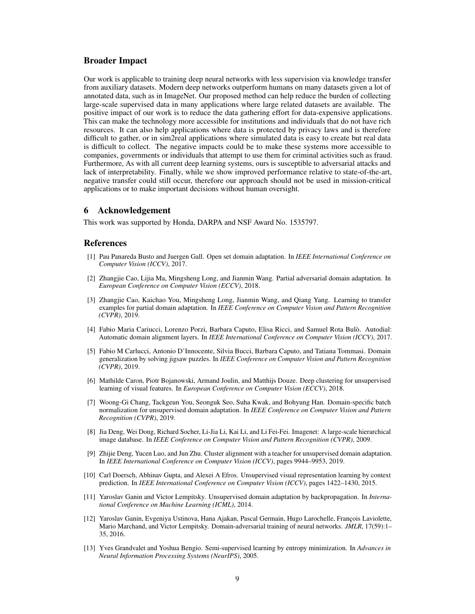## Broader Impact

Our work is applicable to training deep neural networks with less supervision via knowledge transfer from auxiliary datasets. Modern deep networks outperform humans on many datasets given a lot of annotated data, such as in ImageNet. Our proposed method can help reduce the burden of collecting large-scale supervised data in many applications where large related datasets are available. The positive impact of our work is to reduce the data gathering effort for data-expensive applications. This can make the technology more accessible for institutions and individuals that do not have rich resources. It can also help applications where data is protected by privacy laws and is therefore difficult to gather, or in sim2real applications where simulated data is easy to create but real data is difficult to collect. The negative impacts could be to make these systems more accessible to companies, governments or individuals that attempt to use them for criminal activities such as fraud. Furthermore, As with all current deep learning systems, ours is susceptible to adversarial attacks and lack of interpretability. Finally, while we show improved performance relative to state-of-the-art, negative transfer could still occur, therefore our approach should not be used in mission-critical applications or to make important decisions without human oversight.

## 6 Acknowledgement

This work was supported by Honda, DARPA and NSF Award No. 1535797.

## References

- <span id="page-8-2"></span>[1] Pau Panareda Busto and Juergen Gall. Open set domain adaptation. In *IEEE International Conference on Computer Vision (ICCV)*, 2017.
- <span id="page-8-3"></span>[2] Zhangjie Cao, Lijia Ma, Mingsheng Long, and Jianmin Wang. Partial adversarial domain adaptation. In *European Conference on Computer Vision (ECCV)*, 2018.
- <span id="page-8-7"></span>[3] Zhangjie Cao, Kaichao You, Mingsheng Long, Jianmin Wang, and Qiang Yang. Learning to transfer examples for partial domain adaptation. In *IEEE Conference on Computer Vision and Pattern Recognition (CVPR)*, 2019.
- <span id="page-8-9"></span>[4] Fabio Maria Cariucci, Lorenzo Porzi, Barbara Caputo, Elisa Ricci, and Samuel Rota Bulò. Autodial: Automatic domain alignment layers. In *IEEE International Conference on Computer Vision (ICCV)*, 2017.
- <span id="page-8-4"></span>[5] Fabio M Carlucci, Antonio D'Innocente, Silvia Bucci, Barbara Caputo, and Tatiana Tommasi. Domain generalization by solving jigsaw puzzles. In *IEEE Conference on Computer Vision and Pattern Recognition (CVPR)*, 2019.
- <span id="page-8-11"></span>[6] Mathilde Caron, Piotr Bojanowski, Armand Joulin, and Matthijs Douze. Deep clustering for unsupervised learning of visual features. In *European Conference on Computer Vision (ECCV)*, 2018.
- <span id="page-8-5"></span>[7] Woong-Gi Chang, Tackgeun You, Seonguk Seo, Suha Kwak, and Bohyung Han. Domain-specific batch normalization for unsupervised domain adaptation. In *IEEE Conference on Computer Vision and Pattern Recognition (CVPR)*, 2019.
- <span id="page-8-0"></span>[8] Jia Deng, Wei Dong, Richard Socher, Li-Jia Li, Kai Li, and Li Fei-Fei. Imagenet: A large-scale hierarchical image database. In *IEEE Conference on Computer Vision and Pattern Recognition (CVPR)*, 2009.
- <span id="page-8-6"></span>[9] Zhijie Deng, Yucen Luo, and Jun Zhu. Cluster alignment with a teacher for unsupervised domain adaptation. In *IEEE International Conference on Computer Vision (ICCV)*, pages 9944–9953, 2019.
- <span id="page-8-10"></span>[10] Carl Doersch, Abhinav Gupta, and Alexei A Efros. Unsupervised visual representation learning by context prediction. In *IEEE International Conference on Computer Vision (ICCV)*, pages 1422–1430, 2015.
- <span id="page-8-1"></span>[11] Yaroslav Ganin and Victor Lempitsky. Unsupervised domain adaptation by backpropagation. In *International Conference on Machine Learning (ICML)*, 2014.
- <span id="page-8-12"></span>[12] Yaroslav Ganin, Evgeniya Ustinova, Hana Ajakan, Pascal Germain, Hugo Larochelle, François Laviolette, Mario Marchand, and Victor Lempitsky. Domain-adversarial training of neural networks. *JMLR*, 17(59):1– 35, 2016.
- <span id="page-8-8"></span>[13] Yves Grandvalet and Yoshua Bengio. Semi-supervised learning by entropy minimization. In *Advances in Neural Information Processing Systems (NeurIPS)*, 2005.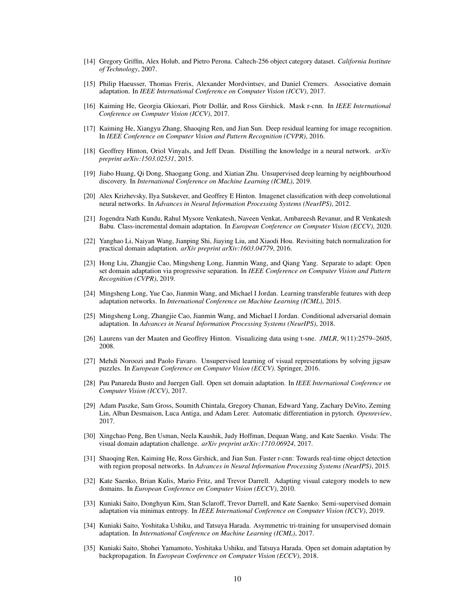- <span id="page-9-17"></span>[14] Gregory Griffin, Alex Holub, and Pietro Perona. Caltech-256 object category dataset. *California Institute of Technology*, 2007.
- <span id="page-9-7"></span>[15] Philip Haeusser, Thomas Frerix, Alexander Mordvintsev, and Daniel Cremers. Associative domain adaptation. In *IEEE International Conference on Computer Vision (ICCV)*, 2017.
- <span id="page-9-2"></span>[16] Kaiming He, Georgia Gkioxari, Piotr Dollár, and Ross Girshick. Mask r-cnn. In *IEEE International Conference on Computer Vision (ICCV)*, 2017.
- <span id="page-9-19"></span>[17] Kaiming He, Xiangyu Zhang, Shaoqing Ren, and Jian Sun. Deep residual learning for image recognition. In *IEEE Conference on Computer Vision and Pattern Recognition (CVPR)*, 2016.
- <span id="page-9-14"></span>[18] Geoffrey Hinton, Oriol Vinyals, and Jeff Dean. Distilling the knowledge in a neural network. *arXiv preprint arXiv:1503.02531*, 2015.
- <span id="page-9-11"></span>[19] Jiabo Huang, Qi Dong, Shaogang Gong, and Xiatian Zhu. Unsupervised deep learning by neighbourhood discovery. In *International Conference on Machine Learning (ICML)*, 2019.
- <span id="page-9-0"></span>[20] Alex Krizhevsky, Ilya Sutskever, and Geoffrey E Hinton. Imagenet classification with deep convolutional neural networks. In *Advances in Neural Information Processing Systems (NeurIPS)*, 2012.
- <span id="page-9-21"></span>[21] Jogendra Nath Kundu, Rahul Mysore Venkatesh, Naveen Venkat, Ambareesh Revanur, and R Venkatesh Babu. Class-incremental domain adaptation. In *European Conference on Computer Vision (ECCV)*, 2020.
- <span id="page-9-12"></span>[22] Yanghao Li, Naiyan Wang, Jianping Shi, Jiaying Liu, and Xiaodi Hou. Revisiting batch normalization for practical domain adaptation. *arXiv preprint arXiv:1603.04779*, 2016.
- <span id="page-9-9"></span>[23] Hong Liu, Zhangjie Cao, Mingsheng Long, Jianmin Wang, and Qiang Yang. Separate to adapt: Open set domain adaptation via progressive separation. In *IEEE Conference on Computer Vision and Pattern Recognition (CVPR)*, 2019.
- <span id="page-9-3"></span>[24] Mingsheng Long, Yue Cao, Jianmin Wang, and Michael I Jordan. Learning transferable features with deep adaptation networks. In *International Conference on Machine Learning (ICML)*, 2015.
- <span id="page-9-5"></span>[25] Mingsheng Long, Zhangjie Cao, Jianmin Wang, and Michael I Jordan. Conditional adversarial domain adaptation. In *Advances in Neural Information Processing Systems (NeurIPS)*, 2018.
- <span id="page-9-20"></span>[26] Laurens van der Maaten and Geoffrey Hinton. Visualizing data using t-sne. *JMLR*, 9(11):2579–2605, 2008.
- <span id="page-9-10"></span>[27] Mehdi Noroozi and Paolo Favaro. Unsupervised learning of visual representations by solving jigsaw puzzles. In *European Conference on Computer Vision (ECCV)*. Springer, 2016.
- <span id="page-9-8"></span>[28] Pau Panareda Busto and Juergen Gall. Open set domain adaptation. In *IEEE International Conference on Computer Vision (ICCV)*, 2017.
- <span id="page-9-18"></span>[29] Adam Paszke, Sam Gross, Soumith Chintala, Gregory Chanan, Edward Yang, Zachary DeVito, Zeming Lin, Alban Desmaison, Luca Antiga, and Adam Lerer. Automatic differentiation in pytorch. *Openreview*, 2017.
- <span id="page-9-16"></span>[30] Xingchao Peng, Ben Usman, Neela Kaushik, Judy Hoffman, Dequan Wang, and Kate Saenko. Visda: The visual domain adaptation challenge. *arXiv preprint arXiv:1710.06924*, 2017.
- <span id="page-9-1"></span>[31] Shaoqing Ren, Kaiming He, Ross Girshick, and Jian Sun. Faster r-cnn: Towards real-time object detection with region proposal networks. In *Advances in Neural Information Processing Systems (NeurIPS)*, 2015.
- <span id="page-9-15"></span>[32] Kate Saenko, Brian Kulis, Mario Fritz, and Trevor Darrell. Adapting visual category models to new domains. In *European Conference on Computer Vision (ECCV)*, 2010.
- <span id="page-9-13"></span>[33] Kuniaki Saito, Donghyun Kim, Stan Sclaroff, Trevor Darrell, and Kate Saenko. Semi-supervised domain adaptation via minimax entropy. In *IEEE International Conference on Computer Vision (ICCV)*, 2019.
- <span id="page-9-6"></span>[34] Kuniaki Saito, Yoshitaka Ushiku, and Tatsuya Harada. Asymmetric tri-training for unsupervised domain adaptation. In *International Conference on Machine Learning (ICML)*, 2017.
- <span id="page-9-4"></span>[35] Kuniaki Saito, Shohei Yamamoto, Yoshitaka Ushiku, and Tatsuya Harada. Open set domain adaptation by backpropagation. In *European Conference on Computer Vision (ECCV)*, 2018.